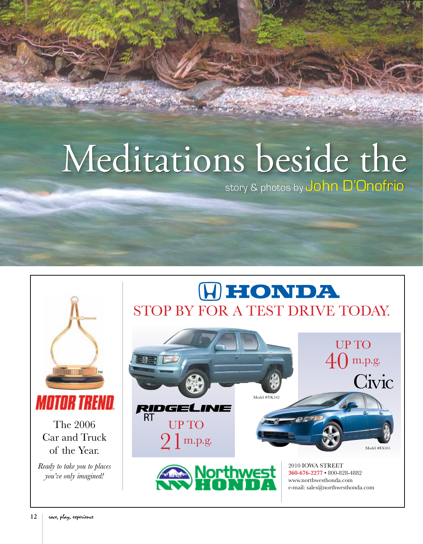## Meditations beside the

story & photos by John D'Onofrio

## (H) HONDA STOP BY FOR A TEST DRIVE TODAY.



The 2006 Car and Truck of the Year.

**MOTOR TREND.** 

**HUILDEN TENNE** 

*Ready to take you to places you've only imagined!*